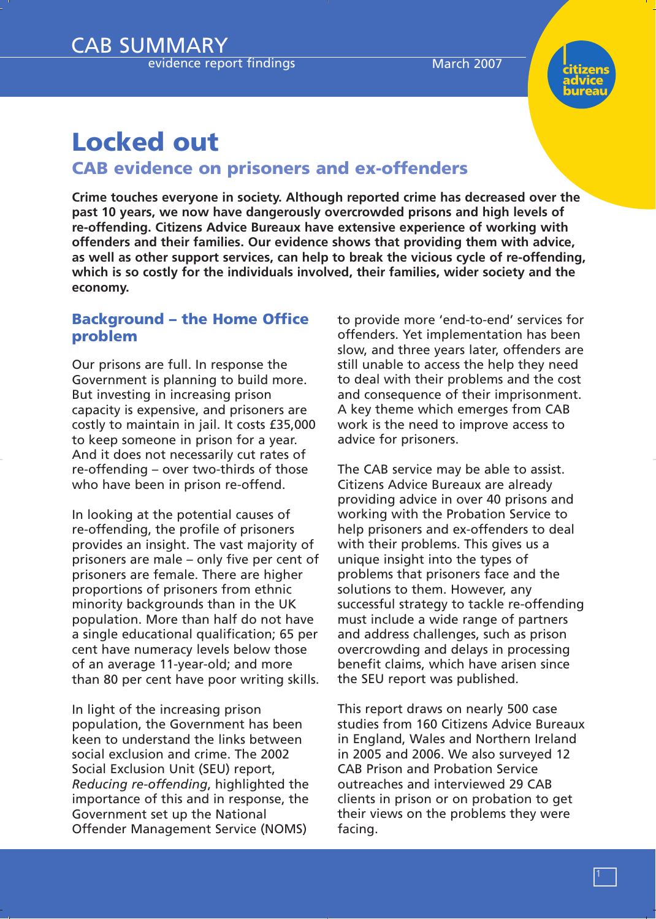CAB SUMMARY evidence report findings March 2007



# **Locked out CAB evidence on prisoners and ex-offenders**

**Crime touches everyone in society. Although reported crime has decreased over the past 10 years, we now have dangerously overcrowded prisons and high levels of re-offending. Citizens Advice Bureaux have extensive experience of working with offenders and their families. Our evidence shows that providing them with advice, as well as other support services, can help to break the vicious cycle of re-offending, which is so costly for the individuals involved, their families, wider society and the economy.**

### **Background – the Home Office problem**

Our prisons are full. In response the Government is planning to build more. But investing in increasing prison capacity is expensive, and prisoners are costly to maintain in jail. It costs £35,000 to keep someone in prison for a year. And it does not necessarily cut rates of re-offending – over two-thirds of those who have been in prison re-offend.

In looking at the potential causes of re-offending, the profile of prisoners provides an insight. The vast majority of prisoners are male – only five per cent of prisoners are female. There are higher proportions of prisoners from ethnic minority backgrounds than in the UK population. More than half do not have a single educational qualification; 65 per cent have numeracy levels below those of an average 11-year-old; and more than 80 per cent have poor writing skills.

In light of the increasing prison population, the Government has been keen to understand the links between social exclusion and crime. The 2002 Social Exclusion Unit (SEU) report, *Reducing re-offending*, highlighted the importance of this and in response, the Government set up the National Offender Management Service (NOMS)

to provide more 'end-to-end' services for offenders. Yet implementation has been slow, and three years later, offenders are still unable to access the help they need to deal with their problems and the cost and consequence of their imprisonment. A key theme which emerges from CAB work is the need to improve access to advice for prisoners.

The CAB service may be able to assist. Citizens Advice Bureaux are already providing advice in over 40 prisons and working with the Probation Service to help prisoners and ex-offenders to deal with their problems. This gives us a unique insight into the types of problems that prisoners face and the solutions to them. However, any successful strategy to tackle re-offending must include a wide range of partners and address challenges, such as prison overcrowding and delays in processing benefit claims, which have arisen since the SEU report was published.

This report draws on nearly 500 case studies from 160 Citizens Advice Bureaux in England, Wales and Northern Ireland in 2005 and 2006. We also surveyed 12 CAB Prison and Probation Service outreaches and interviewed 29 CAB clients in prison or on probation to get their views on the problems they were facing.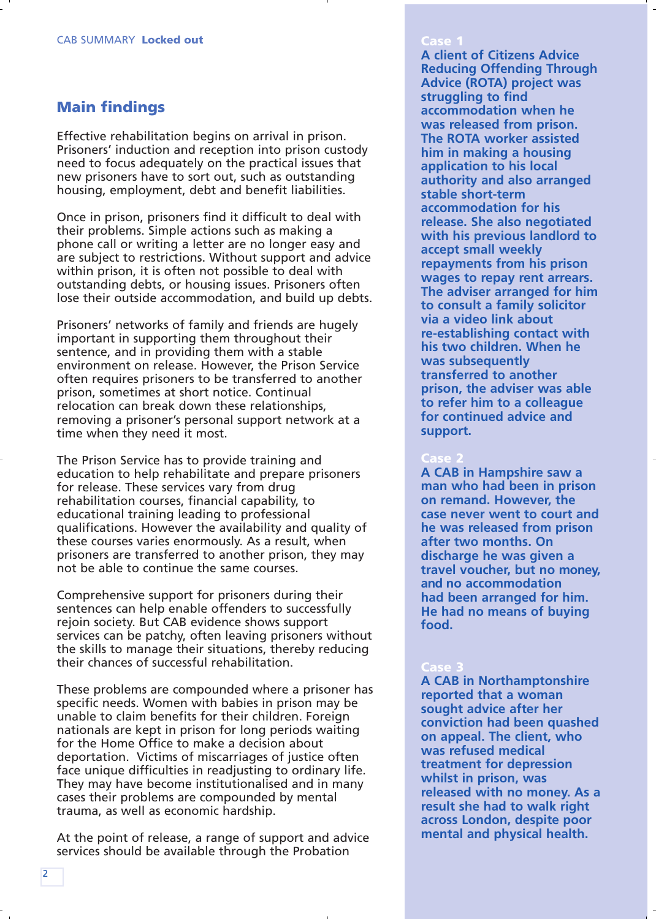## **Main findings**

Effective rehabilitation begins on arrival in prison. Prisoners' induction and reception into prison custody need to focus adequately on the practical issues that new prisoners have to sort out, such as outstanding housing, employment, debt and benefit liabilities.

Once in prison, prisoners find it difficult to deal with their problems. Simple actions such as making a phone call or writing a letter are no longer easy and are subject to restrictions. Without support and advice within prison, it is often not possible to deal with outstanding debts, or housing issues. Prisoners often lose their outside accommodation, and build up debts.

Prisoners' networks of family and friends are hugely important in supporting them throughout their sentence, and in providing them with a stable environment on release. However, the Prison Service often requires prisoners to be transferred to another prison, sometimes at short notice. Continual relocation can break down these relationships, removing a prisoner's personal support network at a time when they need it most.

The Prison Service has to provide training and education to help rehabilitate and prepare prisoners for release. These services vary from drug rehabilitation courses, financial capability, to educational training leading to professional qualifications. However the availability and quality of these courses varies enormously. As a result, when prisoners are transferred to another prison, they may not be able to continue the same courses.

Comprehensive support for prisoners during their sentences can help enable offenders to successfully rejoin society. But CAB evidence shows support services can be patchy, often leaving prisoners without the skills to manage their situations, thereby reducing their chances of successful rehabilitation.

These problems are compounded where a prisoner has specific needs. Women with babies in prison may be unable to claim benefits for their children. Foreign nationals are kept in prison for long periods waiting for the Home Office to make a decision about deportation. Victims of miscarriages of justice often face unique difficulties in readjusting to ordinary life. They may have become institutionalised and in many cases their problems are compounded by mental trauma, as well as economic hardship.

At the point of release, a range of support and advice services should be available through the Probation

#### **Case 1**

**A client of Citizens Advice Reducing Offending Through Advice (ROTA) project was struggling to find accommodation when he was released from prison. The ROTA worker assisted him in making a housing application to his local authority and also arranged stable short-term accommodation for his release. She also negotiated with his previous landlord to accept small weekly repayments from his prison wages to repay rent arrears. The adviser arranged for him to consult a family solicitor via a video link about re-establishing contact with his two children. When he was subsequently transferred to another prison, the adviser was able to refer him to a colleague for continued advice and support.** 

### **Case 2**

**A CAB in Hampshire saw a man who had been in prison on remand. However, the case never went to court and he was released from prison after two months. On discharge he was given a travel voucher, but no money, and no accommodation had been arranged for him. He had no means of buying food.**

#### **Case 3**

**A CAB in Northamptonshire reported that a woman sought advice after her conviction had been quashed on appeal. The client, who was refused medical treatment for depression whilst in prison, was released with no money. As a result she had to walk right across London, despite poor mental and physical health.**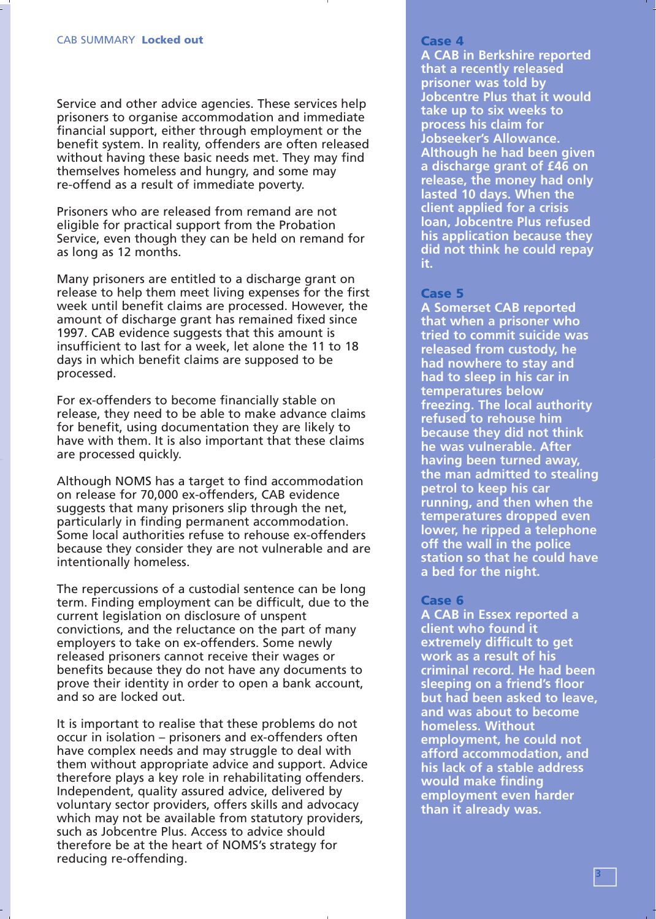Service and other advice agencies. These services help prisoners to organise accommodation and immediate financial support, either through employment or the benefit system. In reality, offenders are often released without having these basic needs met. They may find themselves homeless and hungry, and some may re-offend as a result of immediate poverty.

Prisoners who are released from remand are not eligible for practical support from the Probation Service, even though they can be held on remand for as long as 12 months.

Many prisoners are entitled to a discharge grant on release to help them meet living expenses for the first week until benefit claims are processed. However, the amount of discharge grant has remained fixed since 1997. CAB evidence suggests that this amount is insufficient to last for a week, let alone the 11 to 18 days in which benefit claims are supposed to be processed.

For ex-offenders to become financially stable on release, they need to be able to make advance claims for benefit, using documentation they are likely to have with them. It is also important that these claims are processed quickly.

Although NOMS has a target to find accommodation on release for 70,000 ex-offenders, CAB evidence suggests that many prisoners slip through the net, particularly in finding permanent accommodation. Some local authorities refuse to rehouse ex-offenders because they consider they are not vulnerable and are intentionally homeless.

The repercussions of a custodial sentence can be long term. Finding employment can be difficult, due to the current legislation on disclosure of unspent convictions, and the reluctance on the part of many employers to take on ex-offenders. Some newly released prisoners cannot receive their wages or benefits because they do not have any documents to prove their identity in order to open a bank account, and so are locked out.

It is important to realise that these problems do not occur in isolation – prisoners and ex-offenders often have complex needs and may struggle to deal with them without appropriate advice and support. Advice therefore plays a key role in rehabilitating offenders. Independent, quality assured advice, delivered by voluntary sector providers, offers skills and advocacy which may not be available from statutory providers, such as Jobcentre Plus. Access to advice should therefore be at the heart of NOMS's strategy for reducing re-offending.

**A CAB in Berkshire reported that a recently released prisoner was told by Jobcentre Plus that it would take up to six weeks to process his claim for Jobseeker's Allowance. Although he had been given a discharge grant of £46 on release, the money had only lasted 10 days. When the client applied for a crisis loan, Jobcentre Plus refused his application because they did not think he could repay it.**

#### **Case 5**

**A Somerset CAB reported that when a prisoner who tried to commit suicide was released from custody, he had nowhere to stay and had to sleep in his car in temperatures below freezing. The local authority refused to rehouse him because they did not think he was vulnerable. After having been turned away, the man admitted to stealing petrol to keep his car running, and then when the temperatures dropped even lower, he ripped a telephone off the wall in the police station so that he could have a bed for the night.** 

#### **Case 6**

**A CAB in Essex reported a client who found it extremely difficult to get work as a result of his criminal record. He had been sleeping on a friend's floor but had been asked to leave, and was about to become homeless. Without employment, he could not afford accommodation, and his lack of a stable address would make finding employment even harder than it already was.**